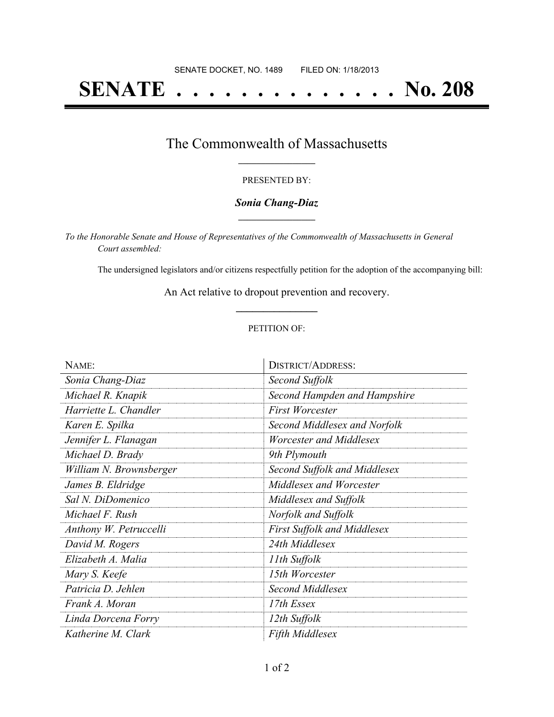# **SENATE . . . . . . . . . . . . . . No. 208**

### The Commonwealth of Massachusetts **\_\_\_\_\_\_\_\_\_\_\_\_\_\_\_\_\_**

#### PRESENTED BY:

#### *Sonia Chang-Diaz* **\_\_\_\_\_\_\_\_\_\_\_\_\_\_\_\_\_**

*To the Honorable Senate and House of Representatives of the Commonwealth of Massachusetts in General Court assembled:*

The undersigned legislators and/or citizens respectfully petition for the adoption of the accompanying bill:

An Act relative to dropout prevention and recovery. **\_\_\_\_\_\_\_\_\_\_\_\_\_\_\_**

#### PETITION OF:

| NAME:                   | <b>DISTRICT/ADDRESS:</b>           |
|-------------------------|------------------------------------|
| Sonia Chang-Diaz        | Second Suffolk                     |
| Michael R. Knapik       | Second Hampden and Hampshire       |
| Harriette L. Chandler   | <b>First Worcester</b>             |
| Karen E. Spilka         | Second Middlesex and Norfolk       |
| Jennifer L. Flanagan    | Worcester and Middlesex            |
| Michael D. Brady        | 9th Plymouth                       |
| William N. Brownsberger | Second Suffolk and Middlesex       |
| James B. Eldridge       | Middlesex and Worcester            |
| Sal N. DiDomenico       | Middlesex and Suffolk              |
| Michael F. Rush         | Norfolk and Suffolk                |
| Anthony W. Petruccelli  | <b>First Suffolk and Middlesex</b> |
| David M. Rogers         | 24th Middlesex                     |
| Elizabeth A. Malia      | 11th Suffolk                       |
| Mary S. Keefe           | 15th Worcester                     |
| Patricia D. Jehlen      | Second Middlesex                   |
| Frank A. Moran          | 17th Essex                         |
| Linda Dorcena Forry     | 12th Suffolk                       |
| Katherine M. Clark      | <b>Fifth Middlesex</b>             |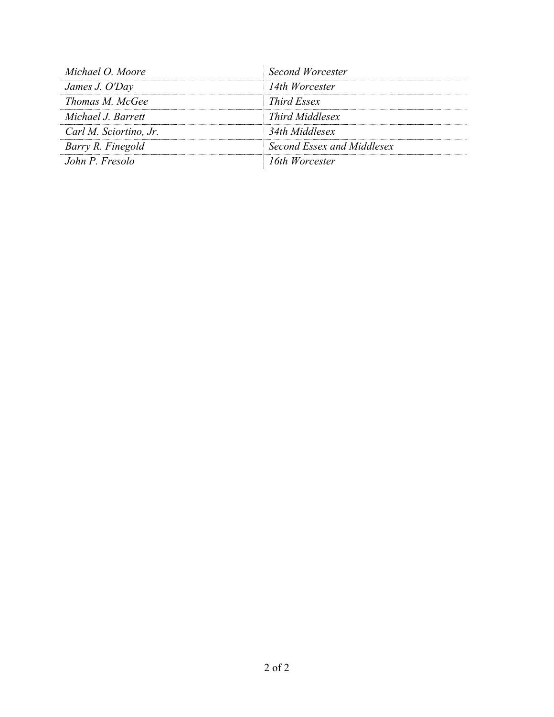| <b>Second Worcester</b>    |
|----------------------------|
| 14th Worcester             |
| <i>Third Essex</i>         |
| Third Middlesex            |
| 34th Middlesex             |
| Second Essex and Middlesex |
| 16th Worcester             |
|                            |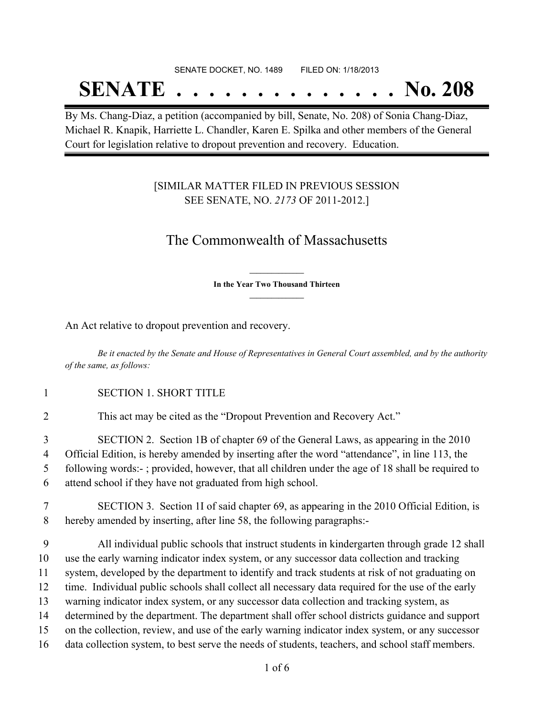## SENATE DOCKET, NO. 1489 FILED ON: 1/18/2013

# **SENATE . . . . . . . . . . . . . . No. 208**

By Ms. Chang-Diaz, a petition (accompanied by bill, Senate, No. 208) of Sonia Chang-Diaz, Michael R. Knapik, Harriette L. Chandler, Karen E. Spilka and other members of the General Court for legislation relative to dropout prevention and recovery. Education.

### [SIMILAR MATTER FILED IN PREVIOUS SESSION SEE SENATE, NO. *2173* OF 2011-2012.]

## The Commonwealth of Massachusetts

**\_\_\_\_\_\_\_\_\_\_\_\_\_\_\_ In the Year Two Thousand Thirteen \_\_\_\_\_\_\_\_\_\_\_\_\_\_\_**

An Act relative to dropout prevention and recovery.

Be it enacted by the Senate and House of Representatives in General Court assembled, and by the authority *of the same, as follows:*

1 SECTION 1. SHORT TITLE

2 This act may be cited as the "Dropout Prevention and Recovery Act."

 SECTION 2. Section 1B of chapter 69 of the General Laws, as appearing in the 2010 Official Edition, is hereby amended by inserting after the word "attendance", in line 113, the following words:- ; provided, however, that all children under the age of 18 shall be required to attend school if they have not graduated from high school.

7 SECTION 3. Section 1I of said chapter 69, as appearing in the 2010 Official Edition, is 8 hereby amended by inserting, after line 58, the following paragraphs:-

 All individual public schools that instruct students in kindergarten through grade 12 shall use the early warning indicator index system, or any successor data collection and tracking system, developed by the department to identify and track students at risk of not graduating on time. Individual public schools shall collect all necessary data required for the use of the early warning indicator index system, or any successor data collection and tracking system, as determined by the department. The department shall offer school districts guidance and support on the collection, review, and use of the early warning indicator index system, or any successor data collection system, to best serve the needs of students, teachers, and school staff members.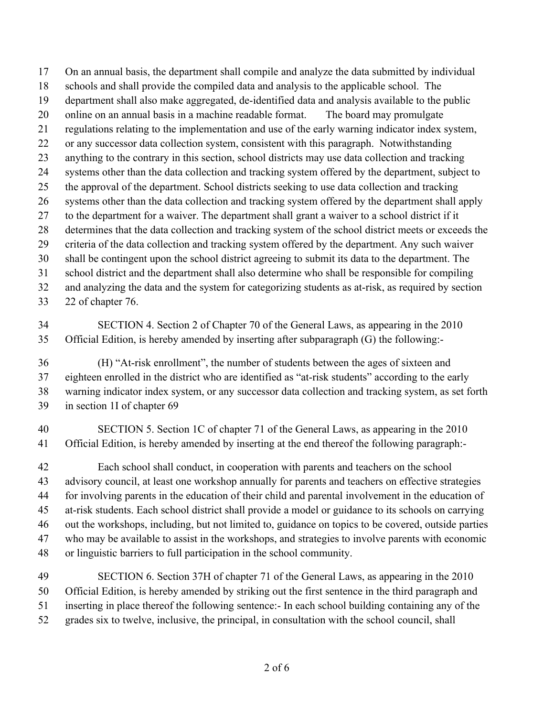On an annual basis, the department shall compile and analyze the data submitted by individual schools and shall provide the compiled data and analysis to the applicable school. The department shall also make aggregated, de-identified data and analysis available to the public online on an annual basis in a machine readable format. The board may promulgate regulations relating to the implementation and use of the early warning indicator index system, or any successor data collection system, consistent with this paragraph. Notwithstanding anything to the contrary in this section, school districts may use data collection and tracking systems other than the data collection and tracking system offered by the department, subject to the approval of the department. School districts seeking to use data collection and tracking systems other than the data collection and tracking system offered by the department shall apply to the department for a waiver. The department shall grant a waiver to a school district if it determines that the data collection and tracking system of the school district meets or exceeds the criteria of the data collection and tracking system offered by the department. Any such waiver shall be contingent upon the school district agreeing to submit its data to the department. The school district and the department shall also determine who shall be responsible for compiling and analyzing the data and the system for categorizing students as at-risk, as required by section 22 of chapter 76.

 SECTION 4. Section 2 of Chapter 70 of the General Laws, as appearing in the 2010 Official Edition, is hereby amended by inserting after subparagraph (G) the following:-

 (H) "At-risk enrollment", the number of students between the ages of sixteen and eighteen enrolled in the district who are identified as "at-risk students" according to the early warning indicator index system, or any successor data collection and tracking system, as set forth in section 1I of chapter 69

 SECTION 5. Section 1C of chapter 71 of the General Laws, as appearing in the 2010 Official Edition, is hereby amended by inserting at the end thereof the following paragraph:-

 Each school shall conduct, in cooperation with parents and teachers on the school advisory council, at least one workshop annually for parents and teachers on effective strategies for involving parents in the education of their child and parental involvement in the education of at-risk students. Each school district shall provide a model or guidance to its schools on carrying out the workshops, including, but not limited to, guidance on topics to be covered, outside parties who may be available to assist in the workshops, and strategies to involve parents with economic or linguistic barriers to full participation in the school community.

 SECTION 6. Section 37H of chapter 71 of the General Laws, as appearing in the 2010 Official Edition, is hereby amended by striking out the first sentence in the third paragraph and inserting in place thereof the following sentence:- In each school building containing any of the grades six to twelve, inclusive, the principal, in consultation with the school council, shall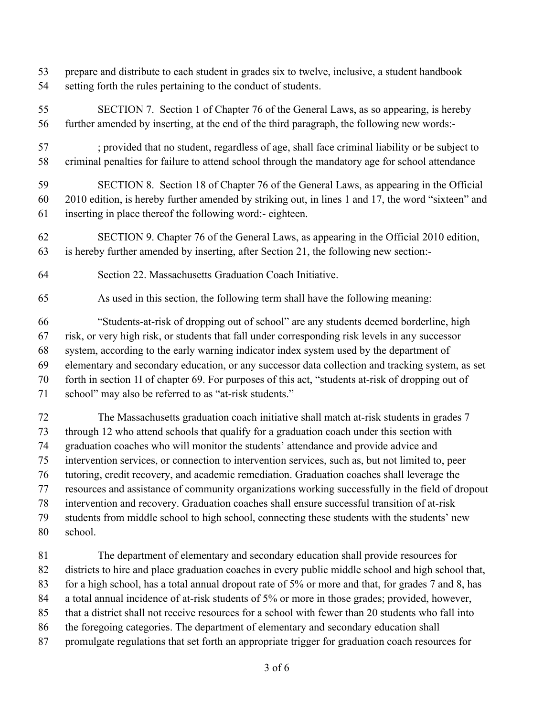- prepare and distribute to each student in grades six to twelve, inclusive, a student handbook setting forth the rules pertaining to the conduct of students.
- SECTION 7. Section 1 of Chapter 76 of the General Laws, as so appearing, is hereby further amended by inserting, at the end of the third paragraph, the following new words:-
- ; provided that no student, regardless of age, shall face criminal liability or be subject to criminal penalties for failure to attend school through the mandatory age for school attendance

 SECTION 8. Section 18 of Chapter 76 of the General Laws, as appearing in the Official 2010 edition, is hereby further amended by striking out, in lines 1 and 17, the word "sixteen" and inserting in place thereof the following word:- eighteen.

- SECTION 9. Chapter 76 of the General Laws, as appearing in the Official 2010 edition, is hereby further amended by inserting, after Section 21, the following new section:-
- Section 22. Massachusetts Graduation Coach Initiative.
- As used in this section, the following term shall have the following meaning:

 "Students-at-risk of dropping out of school" are any students deemed borderline, high risk, or very high risk, or students that fall under corresponding risk levels in any successor system, according to the early warning indicator index system used by the department of elementary and secondary education, or any successor data collection and tracking system, as set forth in section 1I of chapter 69. For purposes of this act, "students at-risk of dropping out of school" may also be referred to as "at-risk students."

 The Massachusetts graduation coach initiative shall match at-risk students in grades 7 through 12 who attend schools that qualify for a graduation coach under this section with graduation coaches who will monitor the students' attendance and provide advice and intervention services, or connection to intervention services, such as, but not limited to, peer tutoring, credit recovery, and academic remediation. Graduation coaches shall leverage the resources and assistance of community organizations working successfully in the field of dropout intervention and recovery. Graduation coaches shall ensure successful transition of at-risk students from middle school to high school, connecting these students with the students' new school.

 The department of elementary and secondary education shall provide resources for districts to hire and place graduation coaches in every public middle school and high school that, for a high school, has a total annual dropout rate of 5% or more and that, for grades 7 and 8, has a total annual incidence of at-risk students of 5% or more in those grades; provided, however, that a district shall not receive resources for a school with fewer than 20 students who fall into the foregoing categories. The department of elementary and secondary education shall promulgate regulations that set forth an appropriate trigger for graduation coach resources for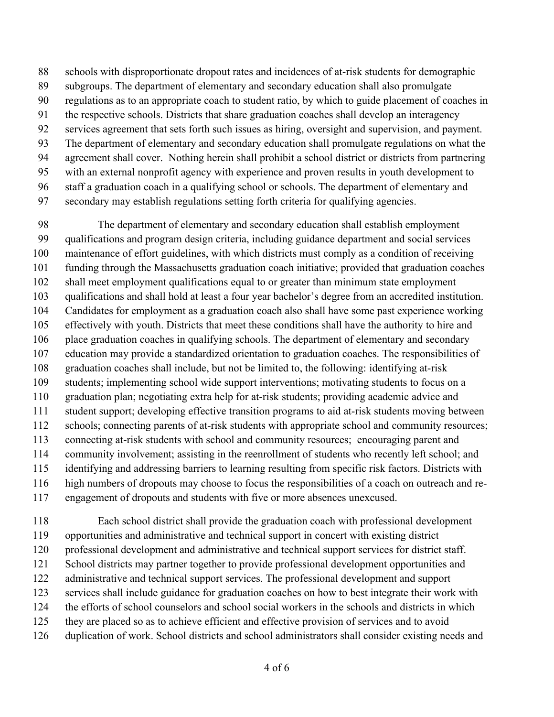schools with disproportionate dropout rates and incidences of at-risk students for demographic

- subgroups. The department of elementary and secondary education shall also promulgate
- regulations as to an appropriate coach to student ratio, by which to guide placement of coaches in
- the respective schools. Districts that share graduation coaches shall develop an interagency
- services agreement that sets forth such issues as hiring, oversight and supervision, and payment.
- The department of elementary and secondary education shall promulgate regulations on what the
- agreement shall cover. Nothing herein shall prohibit a school district or districts from partnering
- with an external nonprofit agency with experience and proven results in youth development to staff a graduation coach in a qualifying school or schools. The department of elementary and
- secondary may establish regulations setting forth criteria for qualifying agencies.

 The department of elementary and secondary education shall establish employment qualifications and program design criteria, including guidance department and social services maintenance of effort guidelines, with which districts must comply as a condition of receiving funding through the Massachusetts graduation coach initiative; provided that graduation coaches shall meet employment qualifications equal to or greater than minimum state employment qualifications and shall hold at least a four year bachelor's degree from an accredited institution. Candidates for employment as a graduation coach also shall have some past experience working effectively with youth. Districts that meet these conditions shall have the authority to hire and place graduation coaches in qualifying schools. The department of elementary and secondary education may provide a standardized orientation to graduation coaches. The responsibilities of graduation coaches shall include, but not be limited to, the following: identifying at-risk students; implementing school wide support interventions; motivating students to focus on a graduation plan; negotiating extra help for at-risk students; providing academic advice and student support; developing effective transition programs to aid at-risk students moving between schools; connecting parents of at-risk students with appropriate school and community resources; connecting at-risk students with school and community resources; encouraging parent and community involvement; assisting in the reenrollment of students who recently left school; and identifying and addressing barriers to learning resulting from specific risk factors. Districts with high numbers of dropouts may choose to focus the responsibilities of a coach on outreach and re-engagement of dropouts and students with five or more absences unexcused.

 Each school district shall provide the graduation coach with professional development opportunities and administrative and technical support in concert with existing district professional development and administrative and technical support services for district staff. School districts may partner together to provide professional development opportunities and administrative and technical support services. The professional development and support services shall include guidance for graduation coaches on how to best integrate their work with the efforts of school counselors and school social workers in the schools and districts in which they are placed so as to achieve efficient and effective provision of services and to avoid duplication of work. School districts and school administrators shall consider existing needs and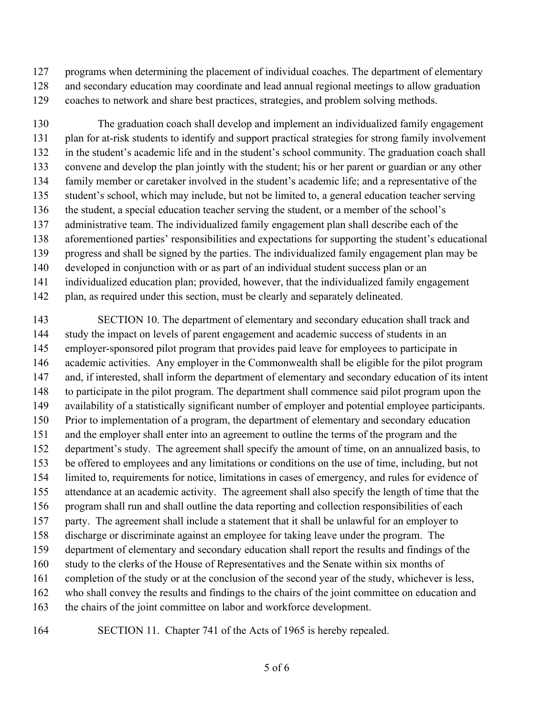programs when determining the placement of individual coaches. The department of elementary

 and secondary education may coordinate and lead annual regional meetings to allow graduation coaches to network and share best practices, strategies, and problem solving methods.

 The graduation coach shall develop and implement an individualized family engagement plan for at-risk students to identify and support practical strategies for strong family involvement in the student's academic life and in the student's school community. The graduation coach shall convene and develop the plan jointly with the student; his or her parent or guardian or any other family member or caretaker involved in the student's academic life; and a representative of the student's school, which may include, but not be limited to, a general education teacher serving the student, a special education teacher serving the student, or a member of the school's administrative team. The individualized family engagement plan shall describe each of the aforementioned parties' responsibilities and expectations for supporting the student's educational progress and shall be signed by the parties. The individualized family engagement plan may be developed in conjunction with or as part of an individual student success plan or an individualized education plan; provided, however, that the individualized family engagement plan, as required under this section, must be clearly and separately delineated.

 SECTION 10. The department of elementary and secondary education shall track and study the impact on levels of parent engagement and academic success of students in an employer-sponsored pilot program that provides paid leave for employees to participate in academic activities. Any employer in the Commonwealth shall be eligible for the pilot program and, if interested, shall inform the department of elementary and secondary education of its intent to participate in the pilot program. The department shall commence said pilot program upon the availability of a statistically significant number of employer and potential employee participants. Prior to implementation of a program, the department of elementary and secondary education and the employer shall enter into an agreement to outline the terms of the program and the department's study. The agreement shall specify the amount of time, on an annualized basis, to be offered to employees and any limitations or conditions on the use of time, including, but not limited to, requirements for notice, limitations in cases of emergency, and rules for evidence of attendance at an academic activity. The agreement shall also specify the length of time that the program shall run and shall outline the data reporting and collection responsibilities of each party. The agreement shall include a statement that it shall be unlawful for an employer to discharge or discriminate against an employee for taking leave under the program. The department of elementary and secondary education shall report the results and findings of the study to the clerks of the House of Representatives and the Senate within six months of completion of the study or at the conclusion of the second year of the study, whichever is less, who shall convey the results and findings to the chairs of the joint committee on education and 163 the chairs of the joint committee on labor and workforce development.

SECTION 11. Chapter 741 of the Acts of 1965 is hereby repealed.